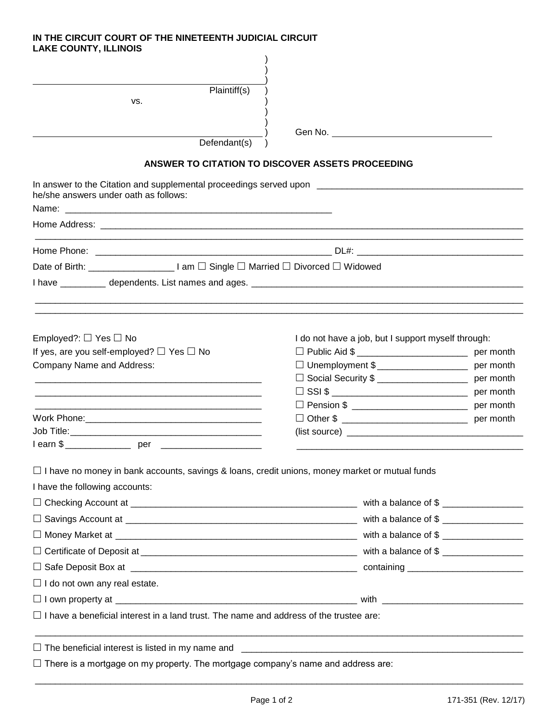## **IN THE CIRCUIT COURT OF THE NINETEENTH JUDICIAL CIRCUIT LAKE COUNTY, ILLINOIS**

|                                                                                                       | Plaintiff(s)                                                                         |                                                     |           |  |  |
|-------------------------------------------------------------------------------------------------------|--------------------------------------------------------------------------------------|-----------------------------------------------------|-----------|--|--|
| VS.                                                                                                   |                                                                                      |                                                     |           |  |  |
|                                                                                                       |                                                                                      |                                                     |           |  |  |
|                                                                                                       | Defendant(s)                                                                         | Gen No. <u>Communication</u>                        |           |  |  |
|                                                                                                       |                                                                                      |                                                     |           |  |  |
|                                                                                                       | ANSWER TO CITATION TO DISCOVER ASSETS PROCEEDING                                     |                                                     |           |  |  |
| he/she answers under oath as follows:                                                                 |                                                                                      |                                                     |           |  |  |
|                                                                                                       |                                                                                      |                                                     |           |  |  |
|                                                                                                       |                                                                                      |                                                     |           |  |  |
|                                                                                                       | Date of Birth: ________________________ I am □ Single □ Married □ Divorced □ Widowed |                                                     |           |  |  |
|                                                                                                       |                                                                                      |                                                     |           |  |  |
|                                                                                                       |                                                                                      |                                                     |           |  |  |
|                                                                                                       |                                                                                      |                                                     |           |  |  |
| Employed?: $\Box$ Yes $\Box$ No                                                                       |                                                                                      | I do not have a job, but I support myself through:  |           |  |  |
| If yes, are you self-employed? $\Box$ Yes $\Box$ No                                                   |                                                                                      | $\Box$ Public Aid \$ ___________________________    | per month |  |  |
| Company Name and Address:                                                                             |                                                                                      | □ Unemployment \$<br><u> Lettermanent</u> per month |           |  |  |
|                                                                                                       |                                                                                      | □ Social Security \$ _____________________          | per month |  |  |
|                                                                                                       |                                                                                      |                                                     |           |  |  |
|                                                                                                       |                                                                                      |                                                     |           |  |  |
|                                                                                                       |                                                                                      | (list source)                                       |           |  |  |
|                                                                                                       |                                                                                      |                                                     |           |  |  |
|                                                                                                       |                                                                                      |                                                     |           |  |  |
| $\Box$ I have no money in bank accounts, savings & loans, credit unions, money market or mutual funds |                                                                                      |                                                     |           |  |  |
| I have the following accounts:                                                                        |                                                                                      |                                                     |           |  |  |
|                                                                                                       |                                                                                      |                                                     |           |  |  |
|                                                                                                       |                                                                                      |                                                     |           |  |  |
|                                                                                                       |                                                                                      |                                                     |           |  |  |
|                                                                                                       |                                                                                      |                                                     |           |  |  |
|                                                                                                       |                                                                                      |                                                     |           |  |  |
| $\Box$ I do not own any real estate.                                                                  |                                                                                      |                                                     |           |  |  |
|                                                                                                       |                                                                                      |                                                     |           |  |  |
| $\Box$ I have a beneficial interest in a land trust. The name and address of the trustee are:         |                                                                                      |                                                     |           |  |  |
|                                                                                                       |                                                                                      |                                                     |           |  |  |
| $\Box$ There is a mortgage on my property. The mortgage company's name and address are:               |                                                                                      |                                                     |           |  |  |
|                                                                                                       |                                                                                      |                                                     |           |  |  |

\_\_\_\_\_\_\_\_\_\_\_\_\_\_\_\_\_\_\_\_\_\_\_\_\_\_\_\_\_\_\_\_\_\_\_\_\_\_\_\_\_\_\_\_\_\_\_\_\_\_\_\_\_\_\_\_\_\_\_\_\_\_\_\_\_\_\_\_\_\_\_\_\_\_\_\_\_\_\_\_\_\_\_\_\_\_\_\_\_\_\_\_\_\_\_\_\_